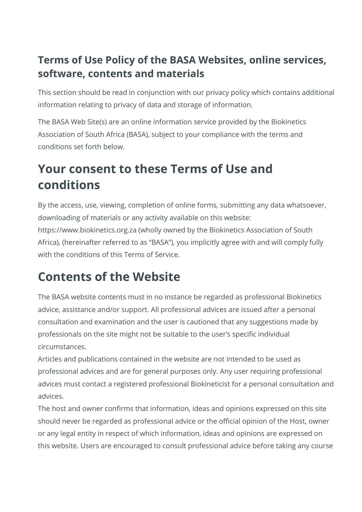## **Terms of Use Policy of the BASA Websites, online services, software, contents and materials**

This section should be read in conjunction with our privacy policy which contains additional information relating to privacy of data and storage of information.

The BASA Web Site(s) are an online information service provided by the Biokinetics Association of South Africa (BASA), subject to your compliance with the terms and conditions set forth below.

# **Your consent to these Terms of Use and conditions**

By the access, use, viewing, completion of online forms, submitting any data whatsoever, downloading of materials or any activity available on this website: https://www.biokinetics.org.za (wholly owned by the Biokinetics Association of South Africa), (hereinafter referred to as "BASA"), you implicitly agree with and will comply fully with the conditions of this Terms of Service.

# **Contents of the Website**

The BASA website contents must in no instance be regarded as professional Biokinetics advice, assistance and/or support. All professional advices are issued after a personal consultation and examination and the user is cautioned that any suggestions made by professionals on the site might not be suitable to the user's specific individual circumstances.

Articles and publications contained in the website are not intended to be used as professional advices and are for general purposes only. Any user requiring professional advices must contact a registered professional Biokineticist for a personal consultation and advices.

The host and owner confirms that information, ideas and opinions expressed on this site should never be regarded as professional advice or the official opinion of the Host, owner or any legal entity in respect of which information, ideas and opinions are expressed on this website. Users are encouraged to consult professional advice before taking any course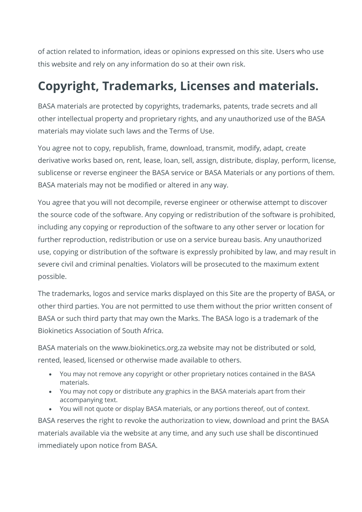of action related to information, ideas or opinions expressed on this site. Users who use this website and rely on any information do so at their own risk.

# **Copyright, Trademarks, Licenses and materials.**

BASA materials are protected by copyrights, trademarks, patents, trade secrets and all other intellectual property and proprietary rights, and any unauthorized use of the BASA materials may violate such laws and the Terms of Use.

You agree not to copy, republish, frame, download, transmit, modify, adapt, create derivative works based on, rent, lease, loan, sell, assign, distribute, display, perform, license, sublicense or reverse engineer the BASA service or BASA Materials or any portions of them. BASA materials may not be modified or altered in any way.

You agree that you will not decompile, reverse engineer or otherwise attempt to discover the source code of the software. Any copying or redistribution of the software is prohibited, including any copying or reproduction of the software to any other server or location for further reproduction, redistribution or use on a service bureau basis. Any unauthorized use, copying or distribution of the software is expressly prohibited by law, and may result in severe civil and criminal penalties. Violators will be prosecuted to the maximum extent possible.

The trademarks, logos and service marks displayed on this Site are the property of BASA, or other third parties. You are not permitted to use them without the prior written consent of BASA or such third party that may own the Marks. The BASA logo is a trademark of the Biokinetics Association of South Africa.

BASA materials on the www.biokinetics.org.za website may not be distributed or sold, rented, leased, licensed or otherwise made available to others.

- You may not remove any copyright or other proprietary notices contained in the BASA materials.
- You may not copy or distribute any graphics in the BASA materials apart from their accompanying text.
- You will not quote or display BASA materials, or any portions thereof, out of context.

BASA reserves the right to revoke the authorization to view, download and print the BASA materials available via the website at any time, and any such use shall be discontinued immediately upon notice from BASA.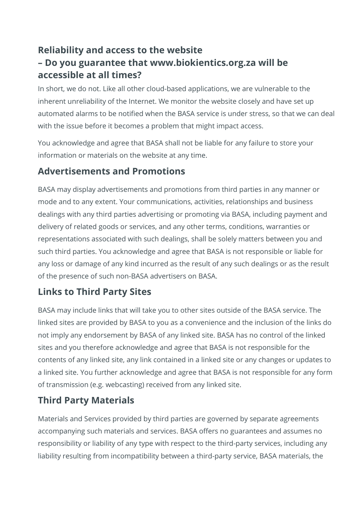### **Reliability and access to the website – Do you guarantee that www.biokientics.org.za will be accessible at all times?**

In short, we do not. Like all other cloud-based applications, we are vulnerable to the inherent unreliability of the Internet. We monitor the website closely and have set up automated alarms to be notified when the BASA service is under stress, so that we can deal with the issue before it becomes a problem that might impact access.

You acknowledge and agree that BASA shall not be liable for any failure to store your information or materials on the website at any time.

#### **Advertisements and Promotions**

BASA may display advertisements and promotions from third parties in any manner or mode and to any extent. Your communications, activities, relationships and business dealings with any third parties advertising or promoting via BASA, including payment and delivery of related goods or services, and any other terms, conditions, warranties or representations associated with such dealings, shall be solely matters between you and such third parties. You acknowledge and agree that BASA is not responsible or liable for any loss or damage of any kind incurred as the result of any such dealings or as the result of the presence of such non-BASA advertisers on BASA.

#### **Links to Third Party Sites**

BASA may include links that will take you to other sites outside of the BASA service. The linked sites are provided by BASA to you as a convenience and the inclusion of the links do not imply any endorsement by BASA of any linked site. BASA has no control of the linked sites and you therefore acknowledge and agree that BASA is not responsible for the contents of any linked site, any link contained in a linked site or any changes or updates to a linked site. You further acknowledge and agree that BASA is not responsible for any form of transmission (e.g. webcasting) received from any linked site.

#### **Third Party Materials**

Materials and Services provided by third parties are governed by separate agreements accompanying such materials and services. BASA offers no guarantees and assumes no responsibility or liability of any type with respect to the third-party services, including any liability resulting from incompatibility between a third-party service, BASA materials, the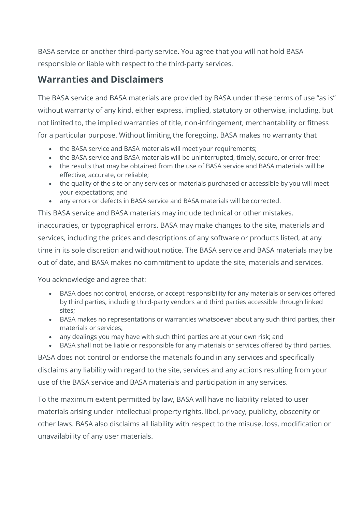BASA service or another third-party service. You agree that you will not hold BASA responsible or liable with respect to the third-party services.

#### **Warranties and Disclaimers**

The BASA service and BASA materials are provided by BASA under these terms of use "as is" without warranty of any kind, either express, implied, statutory or otherwise, including, but not limited to, the implied warranties of title, non-infringement, merchantability or fitness for a particular purpose. Without limiting the foregoing, BASA makes no warranty that

- the BASA service and BASA materials will meet your requirements;
- the BASA service and BASA materials will be uninterrupted, timely, secure, or error-free;
- the results that may be obtained from the use of BASA service and BASA materials will be effective, accurate, or reliable;
- the quality of the site or any services or materials purchased or accessible by you will meet your expectations; and
- any errors or defects in BASA service and BASA materials will be corrected.

This BASA service and BASA materials may include technical or other mistakes, inaccuracies, or typographical errors. BASA may make changes to the site, materials and services, including the prices and descriptions of any software or products listed, at any time in its sole discretion and without notice. The BASA service and BASA materials may be out of date, and BASA makes no commitment to update the site, materials and services.

You acknowledge and agree that:

- BASA does not control, endorse, or accept responsibility for any materials or services offered by third parties, including third-party vendors and third parties accessible through linked sites;
- BASA makes no representations or warranties whatsoever about any such third parties, their materials or services;
- any dealings you may have with such third parties are at your own risk; and
- BASA shall not be liable or responsible for any materials or services offered by third parties.

BASA does not control or endorse the materials found in any services and specifically disclaims any liability with regard to the site, services and any actions resulting from your use of the BASA service and BASA materials and participation in any services.

To the maximum extent permitted by law, BASA will have no liability related to user materials arising under intellectual property rights, libel, privacy, publicity, obscenity or other laws. BASA also disclaims all liability with respect to the misuse, loss, modification or unavailability of any user materials.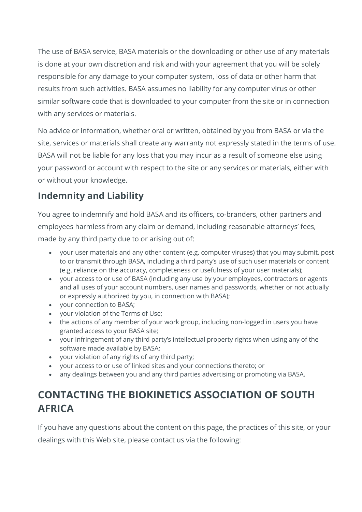The use of BASA service, BASA materials or the downloading or other use of any materials is done at your own discretion and risk and with your agreement that you will be solely responsible for any damage to your computer system, loss of data or other harm that results from such activities. BASA assumes no liability for any computer virus or other similar software code that is downloaded to your computer from the site or in connection with any services or materials.

No advice or information, whether oral or written, obtained by you from BASA or via the site, services or materials shall create any warranty not expressly stated in the terms of use. BASA will not be liable for any loss that you may incur as a result of someone else using your password or account with respect to the site or any services or materials, either with or without your knowledge.

### **Indemnity and Liability**

You agree to indemnify and hold BASA and its officers, co-branders, other partners and employees harmless from any claim or demand, including reasonable attorneys' fees, made by any third party due to or arising out of:

- your user materials and any other content (e.g. computer viruses) that you may submit, post to or transmit through BASA, including a third party's use of such user materials or content (e.g. reliance on the accuracy, completeness or usefulness of your user materials);
- your access to or use of BASA (including any use by your employees, contractors or agents and all uses of your account numbers, user names and passwords, whether or not actually or expressly authorized by you, in connection with BASA);
- your connection to BASA;
- your violation of the Terms of Use;
- the actions of any member of your work group, including non-logged in users you have granted access to your BASA site;
- your infringement of any third party's intellectual property rights when using any of the software made available by BASA;
- your violation of any rights of any third party;
- your access to or use of linked sites and your connections thereto; or
- any dealings between you and any third parties advertising or promoting via BASA.

## **CONTACTING THE BIOKINETICS ASSOCIATION OF SOUTH AFRICA**

If you have any questions about the content on this page, the practices of this site, or your dealings with this Web site, please contact us via the following: